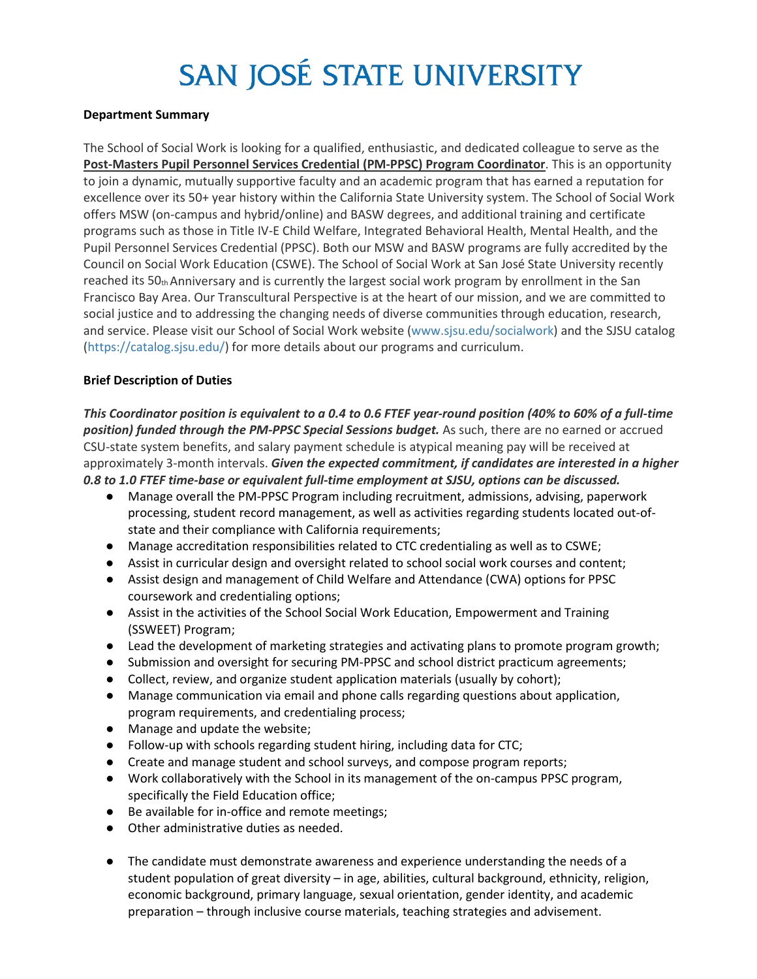# SAN JOSÉ STATE UNIVERSITY

#### **Department Summary**

The School of Social Work is looking for a qualified, enthusiastic, and dedicated colleague to serve as the **Post-Masters Pupil Personnel Services Credential (PM-PPSC) Program Coordinator**. This is an opportunity to join a dynamic, mutually supportive faculty and an academic program that has earned a reputation for excellence over its 50+ year history within the California State University system. The School of Social Work offers MSW (on-campus and hybrid/online) and BASW degrees, and additional training and certificate programs such as those in Title IV-E Child Welfare, Integrated Behavioral Health, Mental Health, and the Pupil Personnel Services Credential (PPSC). Both our MSW and BASW programs are fully accredited by the Council on Social Work Education (CSWE). The School of Social Work at San José State University recently reached its 50th Anniversary and is currently the largest social work program by enrollment in the San Francisco Bay Area. Our Transcultural Perspective is at the heart of our mission, and we are committed to social justice and to addressing the changing needs of diverse communities through education, research, and service. Please visit our School of Social Work website (www.sjsu.edu/socialwork) and the SJSU catalog (https://catalog.sjsu.edu/) for more details about our programs and curriculum.

#### **Brief Description of Duties**

*This Coordinator position is equivalent to a 0.4 to 0.6 FTEF year-round position (40% to 60% of a full-time position) funded through the PM-PPSC Special Sessions budget.* As such, there are no earned or accrued CSU-state system benefits, and salary payment schedule is atypical meaning pay will be received at approximately 3-month intervals. *Given the expected commitment, if candidates are interested in a higher 0.8 to 1.0 FTEF time-base or equivalent full-time employment at SJSU, options can be discussed.*

- Manage overall the PM-PPSC Program including recruitment, admissions, advising, paperwork processing, student record management, as well as activities regarding students located out-ofstate and their compliance with California requirements;
- Manage accreditation responsibilities related to CTC credentialing as well as to CSWE;
- Assist in curricular design and oversight related to school social work courses and content;
- Assist design and management of Child Welfare and Attendance (CWA) options for PPSC coursework and credentialing options;
- Assist in the activities of the School Social Work Education, Empowerment and Training (SSWEET) Program;
- Lead the development of marketing strategies and activating plans to promote program growth;
- Submission and oversight for securing PM-PPSC and school district practicum agreements;
- Collect, review, and organize student application materials (usually by cohort);
- Manage communication via email and phone calls regarding questions about application, program requirements, and credentialing process;
- Manage and update the website;
- Follow-up with schools regarding student hiring, including data for CTC;
- Create and manage student and school surveys, and compose program reports;
- Work collaboratively with the School in its management of the on-campus PPSC program, specifically the Field Education office;
- Be available for in-office and remote meetings;
- Other administrative duties as needed.
- The candidate must demonstrate awareness and experience understanding the needs of a student population of great diversity – in age, abilities, cultural background, ethnicity, religion, economic background, primary language, sexual orientation, gender identity, and academic preparation – through inclusive course materials, teaching strategies and advisement.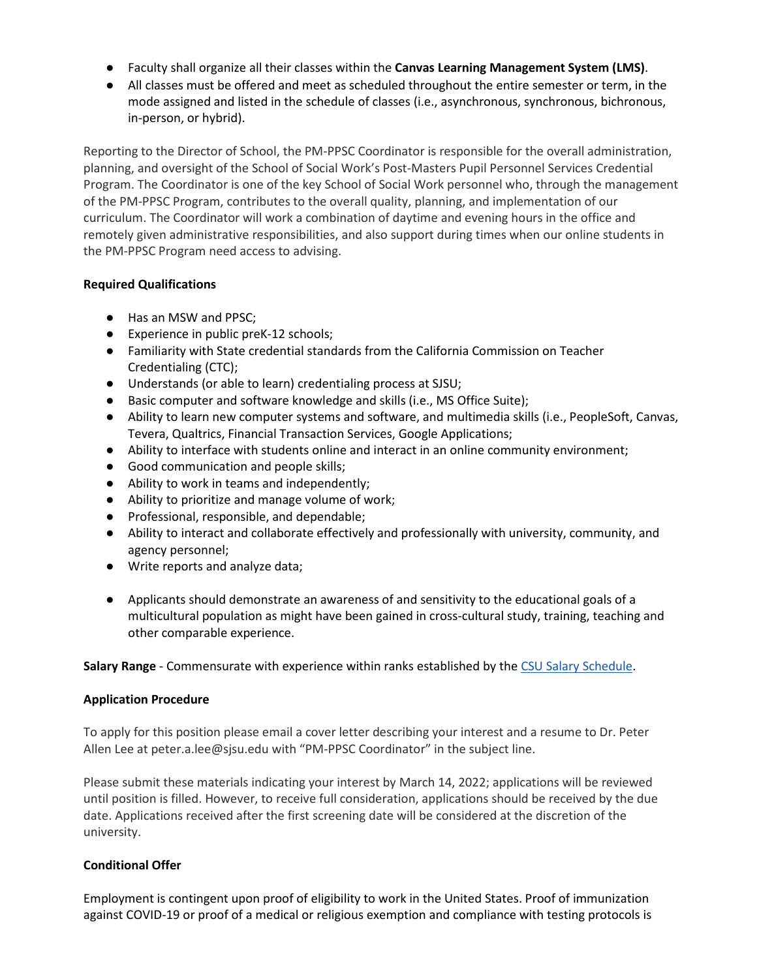- Faculty shall organize all their classes within the **Canvas Learning Management System (LMS)**.
- All classes must be offered and meet as scheduled throughout the entire semester or term, in the mode assigned and listed in the schedule of classes (i.e., asynchronous, synchronous, bichronous, in-person, or hybrid).

Reporting to the Director of School, the PM-PPSC Coordinator is responsible for the overall administration, planning, and oversight of the School of Social Work's Post-Masters Pupil Personnel Services Credential Program. The Coordinator is one of the key School of Social Work personnel who, through the management of the PM-PPSC Program, contributes to the overall quality, planning, and implementation of our curriculum. The Coordinator will work a combination of daytime and evening hours in the office and remotely given administrative responsibilities, and also support during times when our online students in the PM-PPSC Program need access to advising.

# **Required Qualifications**

- Has an MSW and PPSC;
- Experience in public preK-12 schools;
- Familiarity with State credential standards from the California Commission on Teacher Credentialing (CTC);
- Understands (or able to learn) credentialing process at SJSU;
- Basic computer and software knowledge and skills (i.e., MS Office Suite);
- Ability to learn new computer systems and software, and multimedia skills (i.e., PeopleSoft, Canvas, Tevera, Qualtrics, Financial Transaction Services, Google Applications;
- Ability to interface with students online and interact in an online community environment;
- Good communication and people skills;
- Ability to work in teams and independently;
- Ability to prioritize and manage volume of work;
- Professional, responsible, and dependable;
- Ability to interact and collaborate effectively and professionally with university, community, and agency personnel;
- Write reports and analyze data;
- Applicants should demonstrate an awareness of and sensitivity to the educational goals of a multicultural population as might have been gained in cross-cultural study, training, teaching and other comparable experience.

**Salary Range** - Commensurate with experience within ranks established by the [CSU Salary Schedule.](https://www2.calstate.edu/csu-system/careers/compensation/Pages/salary-schedule.aspx)

# **Application Procedure**

To apply for this position please email a cover letter describing your interest and a resume to Dr. Peter Allen Lee at [peter.a.lee@sjsu.edu w](mailto:peter.a.lee@sjsu.edu)ith "PM-PPSC Coordinator" in the subject line.

Please submit these materials indicating your interest by March 14, 2022; applications will be reviewed until position is filled. However, to receive full consideration, applications should be received by the due date. Applications received after the first screening date will be considered at the discretion of the university.

# **Conditional Offer**

Employment is contingent upon proof of eligibility to work in the United States. Proof of immunization against COVID-19 or proof of a medical or religious exemption and compliance with testing protocols is